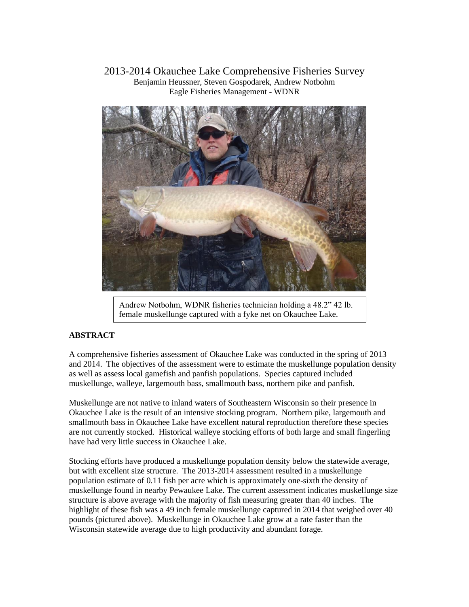2013-2014 Okauchee Lake Comprehensive Fisheries Survey Benjamin Heussner, Steven Gospodarek, Andrew Notbohm Eagle Fisheries Management - WDNR



Andrew Notbohm, WDNR fisheries technician holding a 48.2" 42 lb. female muskellunge captured with a fyke net on Okauchee Lake.

# **ABSTRACT**

A comprehensive fisheries assessment of Okauchee Lake was conducted in the spring of 2013 and 2014. The objectives of the assessment were to estimate the muskellunge population density as well as assess local gamefish and panfish populations. Species captured included muskellunge, walleye, largemouth bass, smallmouth bass, northern pike and panfish.

Muskellunge are not native to inland waters of Southeastern Wisconsin so their presence in Okauchee Lake is the result of an intensive stocking program. Northern pike, largemouth and smallmouth bass in Okauchee Lake have excellent natural reproduction therefore these species are not currently stocked. Historical walleye stocking efforts of both large and small fingerling have had very little success in Okauchee Lake.

Stocking efforts have produced a muskellunge population density below the statewide average, but with excellent size structure. The 2013-2014 assessment resulted in a muskellunge population estimate of 0.11 fish per acre which is approximately one-sixth the density of muskellunge found in nearby Pewaukee Lake. The current assessment indicates muskellunge size structure is above average with the majority of fish measuring greater than 40 inches. The highlight of these fish was a 49 inch female muskellunge captured in 2014 that weighed over 40 pounds (pictured above). Muskellunge in Okauchee Lake grow at a rate faster than the Wisconsin statewide average due to high productivity and abundant forage.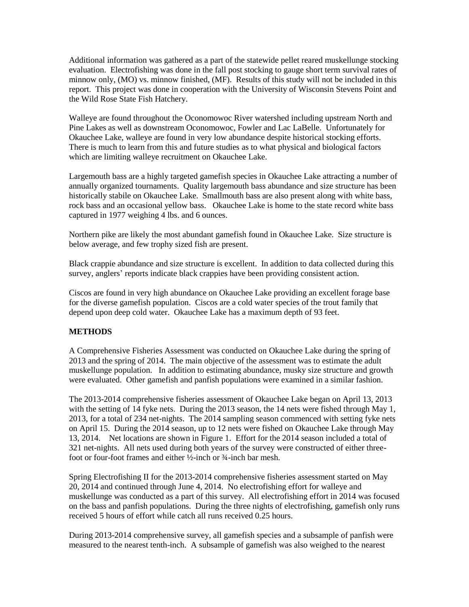Additional information was gathered as a part of the statewide pellet reared muskellunge stocking evaluation. Electrofishing was done in the fall post stocking to gauge short term survival rates of minnow only, (MO) vs. minnow finished, (MF). Results of this study will not be included in this report. This project was done in cooperation with the University of Wisconsin Stevens Point and the Wild Rose State Fish Hatchery.

Walleye are found throughout the Oconomowoc River watershed including upstream North and Pine Lakes as well as downstream Oconomowoc, Fowler and Lac LaBelle. Unfortunately for Okauchee Lake, walleye are found in very low abundance despite historical stocking efforts. There is much to learn from this and future studies as to what physical and biological factors which are limiting walleye recruitment on Okauchee Lake.

Largemouth bass are a highly targeted gamefish species in Okauchee Lake attracting a number of annually organized tournaments. Quality largemouth bass abundance and size structure has been historically stabile on Okauchee Lake. Smallmouth bass are also present along with white bass, rock bass and an occasional yellow bass. Okauchee Lake is home to the state record white bass captured in 1977 weighing 4 lbs. and 6 ounces.

Northern pike are likely the most abundant gamefish found in Okauchee Lake. Size structure is below average, and few trophy sized fish are present.

Black crappie abundance and size structure is excellent. In addition to data collected during this survey, anglers' reports indicate black crappies have been providing consistent action.

Ciscos are found in very high abundance on Okauchee Lake providing an excellent forage base for the diverse gamefish population. Ciscos are a cold water species of the trout family that depend upon deep cold water. Okauchee Lake has a maximum depth of 93 feet.

### **METHODS**

A Comprehensive Fisheries Assessment was conducted on Okauchee Lake during the spring of 2013 and the spring of 2014. The main objective of the assessment was to estimate the adult muskellunge population. In addition to estimating abundance, musky size structure and growth were evaluated. Other gamefish and panfish populations were examined in a similar fashion.

The 2013-2014 comprehensive fisheries assessment of Okauchee Lake began on April 13, 2013 with the setting of 14 fyke nets. During the 2013 season, the 14 nets were fished through May 1, 2013, for a total of 234 net-nights. The 2014 sampling season commenced with setting fyke nets on April 15. During the 2014 season, up to 12 nets were fished on Okauchee Lake through May 13, 2014. Net locations are shown in Figure 1. Effort for the 2014 season included a total of 321 net-nights. All nets used during both years of the survey were constructed of either threefoot or four-foot frames and either ½-inch or ¾-inch bar mesh.

Spring Electrofishing II for the 2013-2014 comprehensive fisheries assessment started on May 20, 2014 and continued through June 4, 2014. No electrofishing effort for walleye and muskellunge was conducted as a part of this survey. All electrofishing effort in 2014 was focused on the bass and panfish populations. During the three nights of electrofishing, gamefish only runs received 5 hours of effort while catch all runs received 0.25 hours.

During 2013-2014 comprehensive survey, all gamefish species and a subsample of panfish were measured to the nearest tenth-inch. A subsample of gamefish was also weighed to the nearest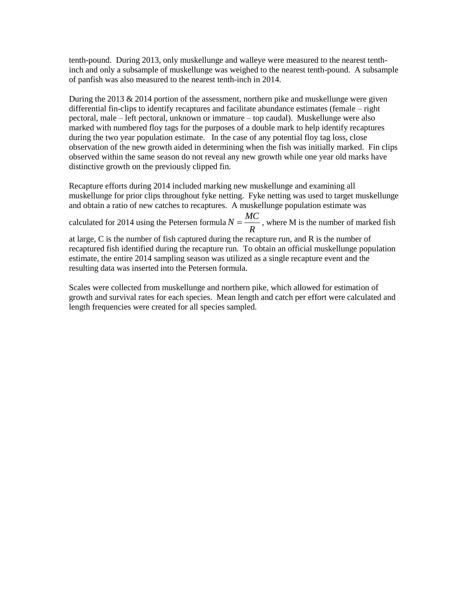tenth-pound. During 2013, only muskellunge and walleye were measured to the nearest tenthinch and only a subsample of muskellunge was weighed to the nearest tenth-pound. A subsample of panfish was also measured to the nearest tenth-inch in 2014.

During the 2013 & 2014 portion of the assessment, northern pike and muskellunge were given differential fin-clips to identify recaptures and facilitate abundance estimates (female – right pectoral, male – left pectoral, unknown or immature – top caudal). Muskellunge were also marked with numbered floy tags for the purposes of a double mark to help identify recaptures during the two year population estimate. In the case of any potential floy tag loss, close observation of the new growth aided in determining when the fish was initially marked. Fin clips observed within the same season do not reveal any new growth while one year old marks have distinctive growth on the previously clipped fin.

Recapture efforts during 2014 included marking new muskellunge and examining all muskellunge for prior clips throughout fyke netting. Fyke netting was used to target muskellunge and obtain a ratio of new catches to recaptures. A muskellunge population estimate was

calculated for 2014 using the Petersen formula *R*  $N = \frac{MC}{2}$ , where M is the number of marked fish at large, C is the number of fish captured during the recapture run, and R is the number of recaptured fish identified during the recapture run. To obtain an official muskellunge population estimate, the entire 2014 sampling season was utilized as a single recapture event and the

resulting data was inserted into the Petersen formula.

Scales were collected from muskellunge and northern pike, which allowed for estimation of growth and survival rates for each species. Mean length and catch per effort were calculated and length frequencies were created for all species sampled.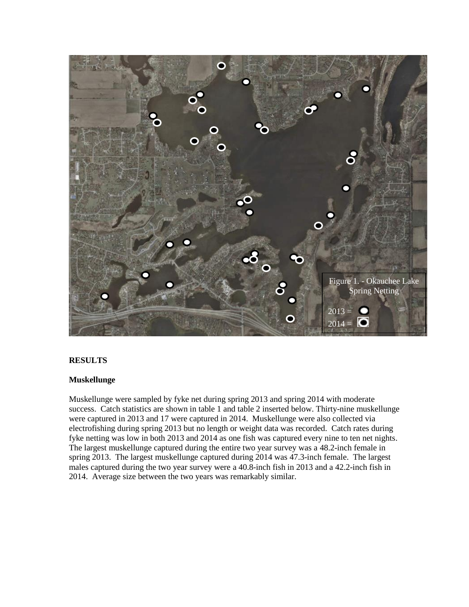

# **RESULTS**

### **Muskellunge**

Muskellunge were sampled by fyke net during spring 2013 and spring 2014 with moderate success. Catch statistics are shown in table 1 and table 2 inserted below. Thirty-nine muskellunge were captured in 2013 and 17 were captured in 2014. Muskellunge were also collected via electrofishing during spring 2013 but no length or weight data was recorded. Catch rates during fyke netting was low in both 2013 and 2014 as one fish was captured every nine to ten net nights. The largest muskellunge captured during the entire two year survey was a 48.2-inch female in spring 2013. The largest muskellunge captured during 2014 was 47.3-inch female. The largest males captured during the two year survey were a 40.8-inch fish in 2013 and a 42.2-inch fish in 2014. Average size between the two years was remarkably similar.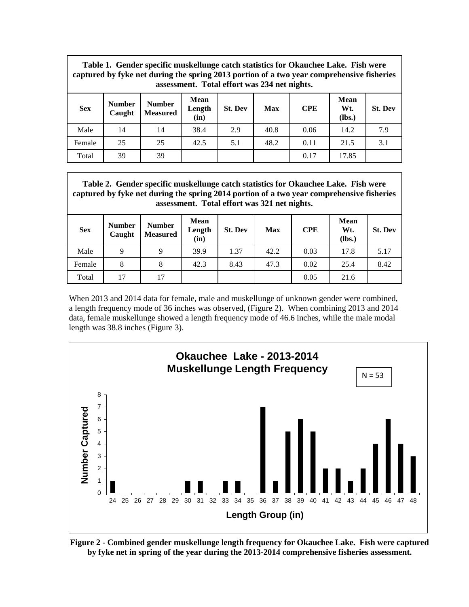|            | Table 1. Gender specific muskellunge catch statistics for Okauchee Lake. Fish were<br>captured by fyke net during the spring 2013 portion of a two year comprehensive fisheries<br>assessment. Total effort was 234 net nights. |                                  |                        |                |      |            |                       |                |
|------------|---------------------------------------------------------------------------------------------------------------------------------------------------------------------------------------------------------------------------------|----------------------------------|------------------------|----------------|------|------------|-----------------------|----------------|
| <b>Sex</b> | <b>Number</b><br>Caught                                                                                                                                                                                                         | <b>Number</b><br><b>Measured</b> | Mean<br>Length<br>(in) | <b>St. Dev</b> | Max  | <b>CPE</b> | Mean<br>Wt.<br>(lbs.) | <b>St. Dev</b> |
| Male       | 14                                                                                                                                                                                                                              | 14                               | 38.4                   | 2.9            | 40.8 | 0.06       | 14.2                  | 7.9            |
| Female     | 25                                                                                                                                                                                                                              | 25                               | 42.5                   | 5.1            | 48.2 | 0.11       | 21.5                  | 3.1            |
| Total      | 39                                                                                                                                                                                                                              | 39                               |                        |                |      | 0.17       | 17.85                 |                |

|            | Table 2. Gender specific muskellunge catch statistics for Okauchee Lake. Fish were<br>captured by fyke net during the spring 2014 portion of a two year comprehensive fisheries<br>assessment. Total effort was 321 net nights. |                                  |                        |                |       |            |                       |                |
|------------|---------------------------------------------------------------------------------------------------------------------------------------------------------------------------------------------------------------------------------|----------------------------------|------------------------|----------------|-------|------------|-----------------------|----------------|
| <b>Sex</b> | <b>Number</b><br>Caught                                                                                                                                                                                                         | <b>Number</b><br><b>Measured</b> | Mean<br>Length<br>(in) | <b>St. Dev</b> | Max   | <b>CPE</b> | Mean<br>Wt.<br>(lbs.) | <b>St. Dev</b> |
| Male       | 9                                                                                                                                                                                                                               | Q                                | 39.9                   | 1.37           | 42.2. | 0.03       | 17.8                  | 5.17           |

Female | 8 | 8 | 42.3 | 8.43 | 47.3 | 0.02 | 25.4 | 8.42

Total 17 17 0.05 21.6

When 2013 and 2014 data for female, male and muskellunge of unknown gender were combined, a length frequency mode of 36 inches was observed, (Figure 2). When combining 2013 and 2014 data, female muskellunge showed a length frequency mode of 46.6 inches, while the male modal length was 38.8 inches (Figure 3).



**Figure 2 - Combined gender muskellunge length frequency for Okauchee Lake. Fish were captured by fyke net in spring of the year during the 2013-2014 comprehensive fisheries assessment.**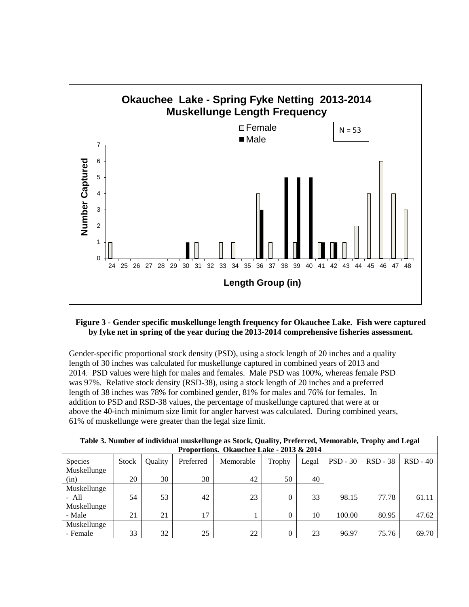

### **Figure 3 - Gender specific muskellunge length frequency for Okauchee Lake. Fish were captured by fyke net in spring of the year during the 2013-2014 comprehensive fisheries assessment.**

Gender-specific proportional stock density (PSD), using a stock length of 20 inches and a quality length of 30 inches was calculated for muskellunge captured in combined years of 2013 and 2014. PSD values were high for males and females. Male PSD was 100%, whereas female PSD was 97%. Relative stock density (RSD-38), using a stock length of 20 inches and a preferred length of 38 inches was 78% for combined gender, 81% for males and 76% for females. In addition to PSD and RSD-38 values, the percentage of muskellunge captured that were at or above the 40-inch minimum size limit for angler harvest was calculated. During combined years, 61% of muskellunge were greater than the legal size limit.

|                | Table 3. Number of individual muskellunge as Stock, Quality, Preferred, Memorable, Trophy and Legal |         |           |                                          |          |       |            |            |            |
|----------------|-----------------------------------------------------------------------------------------------------|---------|-----------|------------------------------------------|----------|-------|------------|------------|------------|
|                |                                                                                                     |         |           | Proportions. Okauchee Lake - 2013 & 2014 |          |       |            |            |            |
| <b>Species</b> | <b>Stock</b>                                                                                        | Quality | Preferred | Memorable                                | Trophy   | Legal | $PSD - 30$ | $RSD - 38$ | $RSD - 40$ |
| Muskellunge    |                                                                                                     |         |           |                                          |          |       |            |            |            |
| (in)           | 20                                                                                                  | 30      | 38        | 42                                       | 50       | 40    |            |            |            |
| Muskellunge    |                                                                                                     |         |           |                                          |          |       |            |            |            |
| $- All$        | 54                                                                                                  | 53      | 42        | 23                                       | $\theta$ | 33    | 98.15      | 77.78      | 61.11      |
| Muskellunge    |                                                                                                     |         |           |                                          |          |       |            |            |            |
| - Male         | 21                                                                                                  | 21      | 17        |                                          |          | 10    | 100.00     | 80.95      | 47.62      |
| Muskellunge    |                                                                                                     |         |           |                                          |          |       |            |            |            |
| - Female       | 33                                                                                                  | 32      | 25        | 22                                       | $\theta$ | 23    | 96.97      | 75.76      | 69.70      |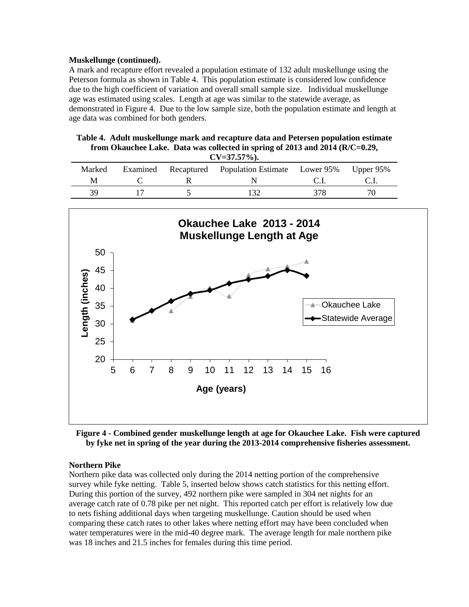#### **Muskellunge (continued).**

A mark and recapture effort revealed a population estimate of 132 adult muskellunge using the Peterson formula as shown in Table 4. This population estimate is considered low confidence due to the high coefficient of variation and overall small sample size. Individual muskellunge age was estimated using scales. Length at age was similar to the statewide average, as demonstrated in Figure 4. Due to the low sample size, both the population estimate and length at age data was combined for both genders.

|  | Table 4. Adult muskellunge mark and recapture data and Petersen population estimate |  |
|--|-------------------------------------------------------------------------------------|--|
|  | from Okauchee Lake. Data was collected in spring of 2013 and 2014 ( $R/C=0.29$ ,    |  |

| $CV=37.57\%$ ). |  |  |                                                             |     |     |  |
|-----------------|--|--|-------------------------------------------------------------|-----|-----|--|
| Marked          |  |  | Examined Recaptured Population Estimate Lower 95% Upper 95% |     |     |  |
| М               |  |  |                                                             |     |     |  |
| 39              |  |  |                                                             | 378 | 70. |  |



**Figure 4 - Combined gender muskellunge length at age for Okauchee Lake. Fish were captured by fyke net in spring of the year during the 2013-2014 comprehensive fisheries assessment.** 

### **Northern Pike**

Northern pike data was collected only during the 2014 netting portion of the comprehensive survey while fyke netting. Table 5, inserted below shows catch statistics for this netting effort. During this portion of the survey, 492 northern pike were sampled in 304 net nights for an average catch rate of 0.78 pike per net night. This reported catch per effort is relatively low due to nets fishing additional days when targeting muskellunge. Caution should be used when comparing these catch rates to other lakes where netting effort may have been concluded when water temperatures were in the mid-40 degree mark. The average length for male northern pike was 18 inches and 21.5 inches for females during this time period.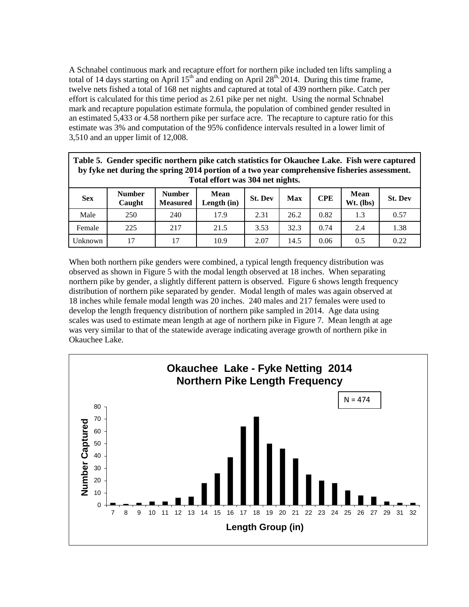A Schnabel continuous mark and recapture effort for northern pike included ten lifts sampling a total of 14 days starting on April  $15<sup>th</sup>$  and ending on April 28<sup>th, 2014.</sup> During this time frame, twelve nets fished a total of 168 net nights and captured at total of 439 northern pike. Catch per effort is calculated for this time period as 2.61 pike per net night. Using the normal Schnabel mark and recapture population estimate formula, the population of combined gender resulted in an estimated 5,433 or 4.58 northern pike per surface acre. The recapture to capture ratio for this estimate was 3% and computation of the 95% confidence intervals resulted in a lower limit of 3,510 and an upper limit of 12,008.

|            | Table 5. Gender specific northern pike catch statistics for Okauchee Lake. Fish were captured<br>by fyke net during the spring 2014 portion of a two year comprehensive fisheries assessment.<br>Total effort was 304 net nights. |                                  |                       |                |      |            |                            |                |  |
|------------|-----------------------------------------------------------------------------------------------------------------------------------------------------------------------------------------------------------------------------------|----------------------------------|-----------------------|----------------|------|------------|----------------------------|----------------|--|
| <b>Sex</b> | <b>Number</b><br>Caught                                                                                                                                                                                                           | <b>Number</b><br><b>Measured</b> | Mean<br>Length $(in)$ | <b>St. Dev</b> | Max  | <b>CPE</b> | <b>Mean</b><br>$Wt.$ (lbs) | <b>St. Dev</b> |  |
| Male       | 250                                                                                                                                                                                                                               | 240                              | 17.9                  | 2.31           | 26.2 | 0.82       | 1.3                        | 0.57           |  |
| Female     | 225                                                                                                                                                                                                                               | 217                              | 21.5                  | 3.53           | 32.3 | 0.74       | 2.4                        | 1.38           |  |
| Unknown    | 17                                                                                                                                                                                                                                | 17                               | 10.9                  | 2.07           | 14.5 | 0.06       | 0.5                        | 0.22           |  |

When both northern pike genders were combined, a typical length frequency distribution was observed as shown in Figure 5 with the modal length observed at 18 inches. When separating northern pike by gender, a slightly different pattern is observed. Figure 6 shows length frequency distribution of northern pike separated by gender. Modal length of males was again observed at 18 inches while female modal length was 20 inches. 240 males and 217 females were used to develop the length frequency distribution of northern pike sampled in 2014. Age data using scales was used to estimate mean length at age of northern pike in Figure 7. Mean length at age was very similar to that of the statewide average indicating average growth of northern pike in Okauchee Lake.

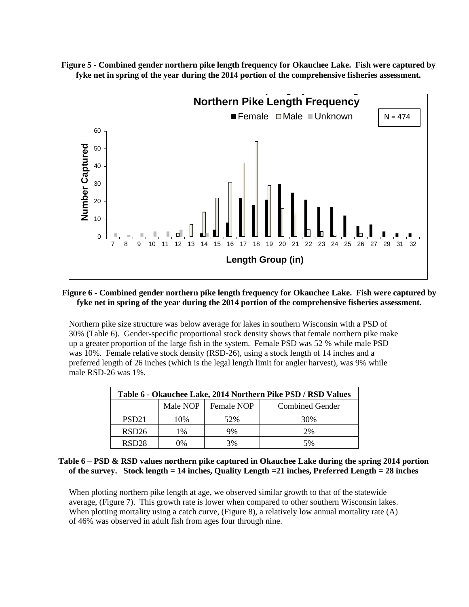



### **Figure 6 - Combined gender northern pike length frequency for Okauchee Lake. Fish were captured by fyke net in spring of the year during the 2014 portion of the comprehensive fisheries assessment.**

Northern pike size structure was below average for lakes in southern Wisconsin with a PSD of 30% (Table 6). Gender-specific proportional stock density shows that female northern pike make up a greater proportion of the large fish in the system. Female PSD was 52 % while male PSD was 10%. Female relative stock density (RSD-26), using a stock length of 14 inches and a preferred length of 26 inches (which is the legal length limit for angler harvest), was 9% while male RSD-26 was 1%.

|                   | Table 6 - Okauchee Lake, 2014 Northern Pike PSD / RSD Values |            |                        |  |  |  |  |
|-------------------|--------------------------------------------------------------|------------|------------------------|--|--|--|--|
|                   | Male NOP                                                     | Female NOP | <b>Combined Gender</b> |  |  |  |  |
| PSD <sub>21</sub> | 10%                                                          | 52%        | 30%                    |  |  |  |  |
| RSD <sub>26</sub> | 1%                                                           | 9%         | 2%                     |  |  |  |  |
| RSD <sub>28</sub> | 0%                                                           | 3%         | 5%                     |  |  |  |  |

### **Table 6 – PSD & RSD values northern pike captured in Okauchee Lake during the spring 2014 portion of the survey. Stock length = 14 inches, Quality Length =21 inches, Preferred Length = 28 inches**

When plotting northern pike length at age, we observed similar growth to that of the statewide average, (Figure 7). This growth rate is lower when compared to other southern Wisconsin lakes. When plotting mortality using a catch curve, (Figure 8), a relatively low annual mortality rate  $(A)$ of 46% was observed in adult fish from ages four through nine.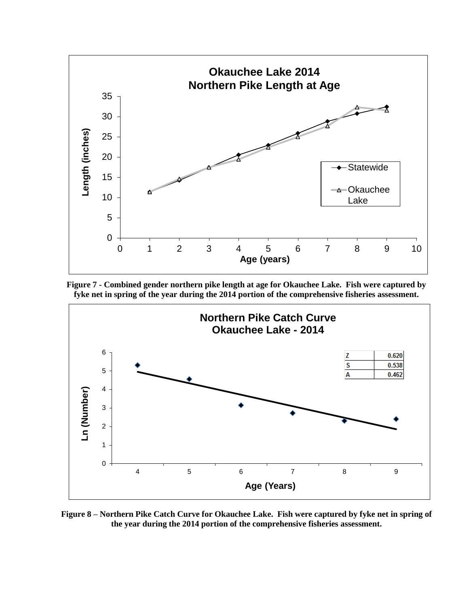

**Figure 7 - Combined gender northern pike length at age for Okauchee Lake. Fish were captured by fyke net in spring of the year during the 2014 portion of the comprehensive fisheries assessment.** 



**Figure 8 – Northern Pike Catch Curve for Okauchee Lake. Fish were captured by fyke net in spring of the year during the 2014 portion of the comprehensive fisheries assessment.**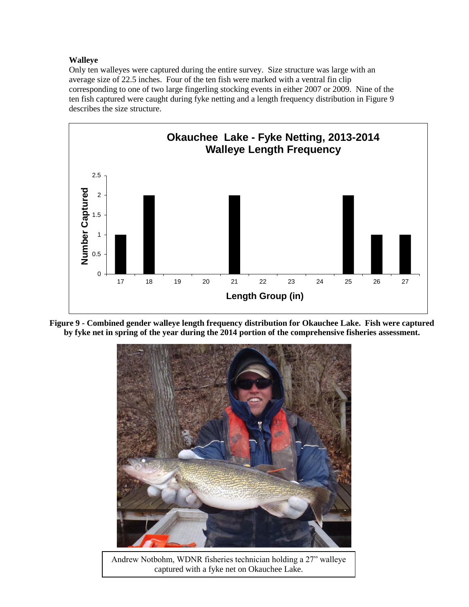### **Walleye**

Only ten walleyes were captured during the entire survey. Size structure was large with an average size of 22.5 inches. Four of the ten fish were marked with a ventral fin clip corresponding to one of two large fingerling stocking events in either 2007 or 2009. Nine of the ten fish captured were caught during fyke netting and a length frequency distribution in Figure 9 describes the size structure.



**Figure 9 - Combined gender walleye length frequency distribution for Okauchee Lake. Fish were captured by fyke net in spring of the year during the 2014 portion of the comprehensive fisheries assessment.** 



Andrew Notbohm, WDNR fisheries technician holding a 27" walleye captured with a fyke net on Okauchee Lake.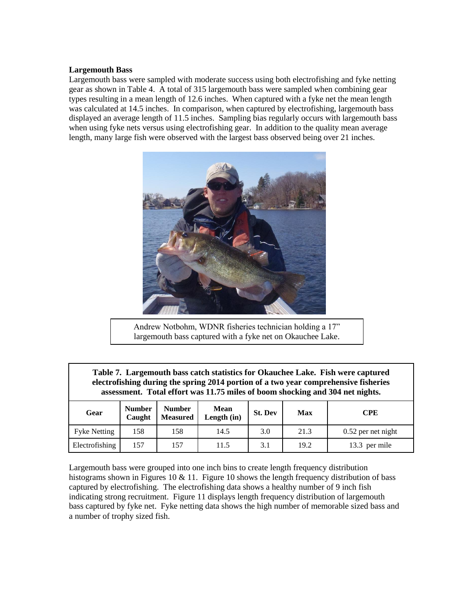### **Largemouth Bass**

Largemouth bass were sampled with moderate success using both electrofishing and fyke netting gear as shown in Table 4. A total of 315 largemouth bass were sampled when combining gear types resulting in a mean length of 12.6 inches. When captured with a fyke net the mean length was calculated at 14.5 inches. In comparison, when captured by electrofishing, largemouth bass displayed an average length of 11.5 inches. Sampling bias regularly occurs with largemouth bass when using fyke nets versus using electrofishing gear. In addition to the quality mean average length, many large fish were observed with the largest bass observed being over 21 inches.



Andrew Notbohm, WDNR fisheries technician holding a 17" largemouth bass captured with a fyke net on Okauchee Lake.

| Table 7. Largemouth bass catch statistics for Okauchee Lake. Fish were captured<br>electrofishing during the spring 2014 portion of a two year comprehensive fisheries<br>assessment. Total effort was 11.75 miles of boom shocking and 304 net nights. |                                                                                                                             |     |      |     |      |                      |  |  |
|---------------------------------------------------------------------------------------------------------------------------------------------------------------------------------------------------------------------------------------------------------|-----------------------------------------------------------------------------------------------------------------------------|-----|------|-----|------|----------------------|--|--|
| Gear                                                                                                                                                                                                                                                    | <b>Number</b><br><b>Number</b><br>Mean<br><b>St. Dev</b><br>Max<br><b>CPE</b><br><b>Measured</b><br>Length $(in)$<br>Caught |     |      |     |      |                      |  |  |
| <b>Fyke Netting</b>                                                                                                                                                                                                                                     | 158                                                                                                                         | 158 | 14.5 | 3.0 | 21.3 | $0.52$ per net night |  |  |
| Electrofishing                                                                                                                                                                                                                                          | 157<br>157<br>19.2<br>3.1<br>13.3 per mile<br>11.5                                                                          |     |      |     |      |                      |  |  |

Largemouth bass were grouped into one inch bins to create length frequency distribution histograms shown in Figures 10 & 11. Figure 10 shows the length frequency distribution of bass captured by electrofishing. The electrofishing data shows a healthy number of 9 inch fish indicating strong recruitment. Figure 11 displays length frequency distribution of largemouth bass captured by fyke net. Fyke netting data shows the high number of memorable sized bass and a number of trophy sized fish.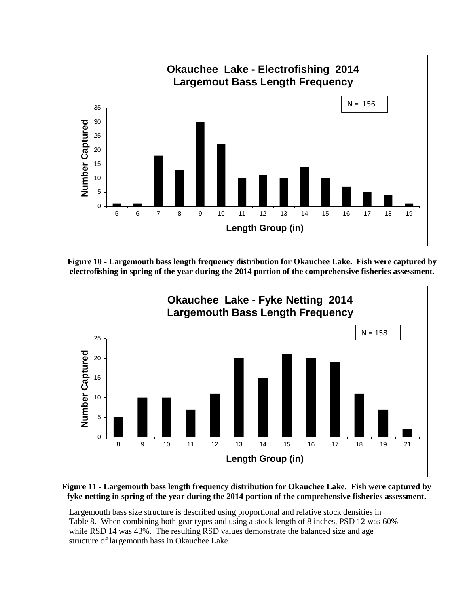

**Figure 10 - Largemouth bass length frequency distribution for Okauchee Lake. Fish were captured by electrofishing in spring of the year during the 2014 portion of the comprehensive fisheries assessment.** 



### **Figure 11 - Largemouth bass length frequency distribution for Okauchee Lake. Fish were captured by fyke netting in spring of the year during the 2014 portion of the comprehensive fisheries assessment.**

Largemouth bass size structure is described using proportional and relative stock densities in Table 8. When combining both gear types and using a stock length of 8 inches, PSD 12 was 60% while RSD 14 was 43%. The resulting RSD values demonstrate the balanced size and age structure of largemouth bass in Okauchee Lake.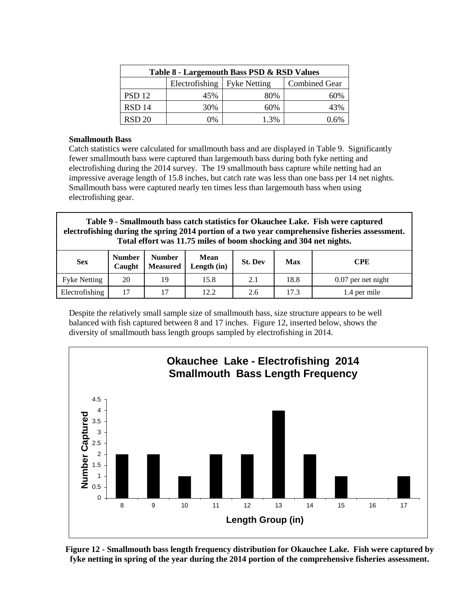| Table 8 - Largemouth Bass PSD & RSD Values |                               |      |                      |  |  |  |
|--------------------------------------------|-------------------------------|------|----------------------|--|--|--|
|                                            | Electrofishing   Fyke Netting |      | <b>Combined Gear</b> |  |  |  |
| PSD <sub>12</sub>                          | 45%                           | 80%  | 60%                  |  |  |  |
| <b>RSD 14</b>                              | 30%                           | 60%  | 43%                  |  |  |  |
| <b>RSD 20</b>                              | 0%                            | 1.3% | 1.6%                 |  |  |  |

### **Smallmouth Bass**

Catch statistics were calculated for smallmouth bass and are displayed in Table 9. Significantly fewer smallmouth bass were captured than largemouth bass during both fyke netting and electrofishing during the 2014 survey. The 19 smallmouth bass capture while netting had an impressive average length of 15.8 inches, but catch rate was less than one bass per 14 net nights. Smallmouth bass were captured nearly ten times less than largemouth bass when using electrofishing gear.

**Table 9 - Smallmouth bass catch statistics for Okauchee Lake. Fish were captured electrofishing during the spring 2014 portion of a two year comprehensive fisheries assessment. Total effort was 11.75 miles of boom shocking and 304 net nights.**

| <b>Sex</b>          | <b>Number</b><br>Caught | <b>Number</b><br><b>Measured</b> | Mean<br>Length $(in)$ | <b>St. Dev</b> | Max  | <b>CPE</b>           |
|---------------------|-------------------------|----------------------------------|-----------------------|----------------|------|----------------------|
| <b>Fyke Netting</b> | 20                      | 19                               | 15.8                  | 2.1            | 18.8 | $0.07$ per net night |
| Electrofishing      | $\overline{ }$          | 1 <sub>7</sub>                   | 12.2                  | 2.6            | 17.3 | 1.4 per mile         |

Despite the relatively small sample size of smallmouth bass, size structure appears to be well balanced with fish captured between 8 and 17 inches. Figure 12, inserted below, shows the diversity of smallmouth bass length groups sampled by electrofishing in 2014.



**Figure 12 - Smallmouth bass length frequency distribution for Okauchee Lake. Fish were captured by fyke netting in spring of the year during the 2014 portion of the comprehensive fisheries assessment.**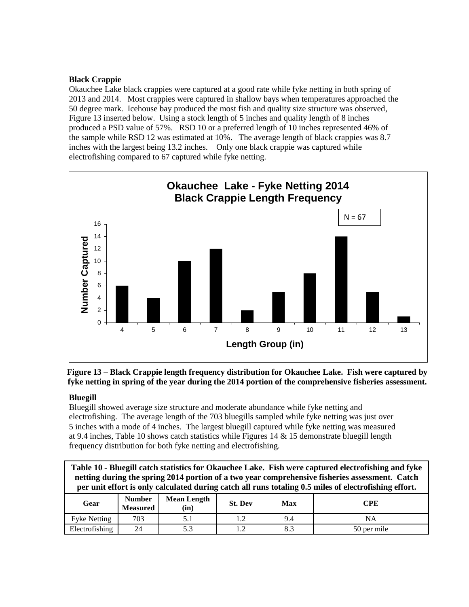### **Black Crappie**

Okauchee Lake black crappies were captured at a good rate while fyke netting in both spring of 2013 and 2014. Most crappies were captured in shallow bays when temperatures approached the 50 degree mark. Icehouse bay produced the most fish and quality size structure was observed, Figure 13 inserted below. Using a stock length of 5 inches and quality length of 8 inches produced a PSD value of 57%. RSD 10 or a preferred length of 10 inches represented 46% of the sample while RSD 12 was estimated at 10%. The average length of black crappies was 8.7 inches with the largest being 13.2 inches. Only one black crappie was captured while electrofishing compared to 67 captured while fyke netting.



# **Figure 13 – Black Crappie length frequency distribution for Okauchee Lake. Fish were captured by fyke netting in spring of the year during the 2014 portion of the comprehensive fisheries assessment.**

# **Bluegill**

Bluegill showed average size structure and moderate abundance while fyke netting and electrofishing. The average length of the 703 bluegills sampled while fyke netting was just over 5 inches with a mode of 4 inches. The largest bluegill captured while fyke netting was measured at 9.4 inches, Table 10 shows catch statistics while Figures  $14 \& 15$  demonstrate bluegill length frequency distribution for both fyke netting and electrofishing.

| Table 10 - Bluegill catch statistics for Okauchee Lake. Fish were captured electrofishing and fyke<br>netting during the spring 2014 portion of a two year comprehensive fisheries assessment. Catch<br>per unit effort is only calculated during catch all runs totaling 0.5 miles of electrofishing effort. |                                  |                            |                |     |             |  |
|---------------------------------------------------------------------------------------------------------------------------------------------------------------------------------------------------------------------------------------------------------------------------------------------------------------|----------------------------------|----------------------------|----------------|-----|-------------|--|
| Gear                                                                                                                                                                                                                                                                                                          | <b>Number</b><br><b>Measured</b> | <b>Mean Length</b><br>(in) | <b>St. Dev</b> | Max | <b>CPE</b>  |  |
| <b>Fyke Netting</b>                                                                                                                                                                                                                                                                                           | 703                              | 5.1                        | 1.2            | 9.4 | ΝA          |  |
| Electrofishing                                                                                                                                                                                                                                                                                                | 24                               | 5.3                        | 1.2.           | 8.3 | 50 per mile |  |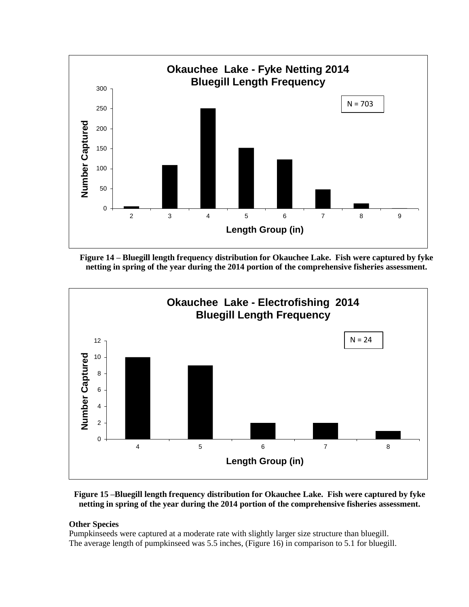

**Figure 14 – Bluegill length frequency distribution for Okauchee Lake. Fish were captured by fyke netting in spring of the year during the 2014 portion of the comprehensive fisheries assessment.** 



**Figure 15 –Bluegill length frequency distribution for Okauchee Lake. Fish were captured by fyke netting in spring of the year during the 2014 portion of the comprehensive fisheries assessment.** 

### **Other Species**

Pumpkinseeds were captured at a moderate rate with slightly larger size structure than bluegill. The average length of pumpkinseed was 5.5 inches, (Figure 16) in comparison to 5.1 for bluegill.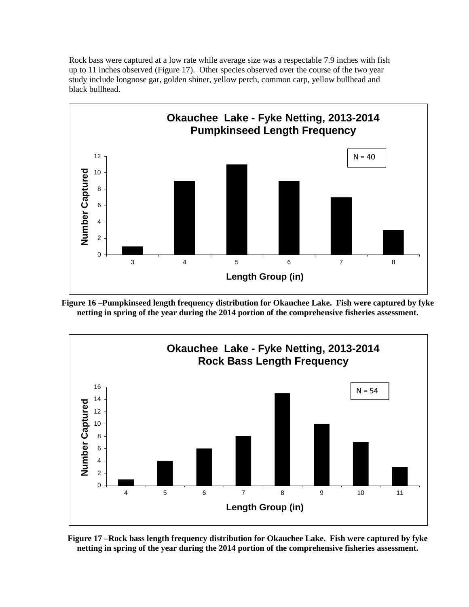Rock bass were captured at a low rate while average size was a respectable 7.9 inches with fish up to 11 inches observed (Figure 17). Other species observed over the course of the two year study include longnose gar, golden shiner, yellow perch, common carp, yellow bullhead and black bullhead.



**Figure 16 –Pumpkinseed length frequency distribution for Okauchee Lake. Fish were captured by fyke netting in spring of the year during the 2014 portion of the comprehensive fisheries assessment.** 



**Figure 17 –Rock bass length frequency distribution for Okauchee Lake. Fish were captured by fyke netting in spring of the year during the 2014 portion of the comprehensive fisheries assessment.**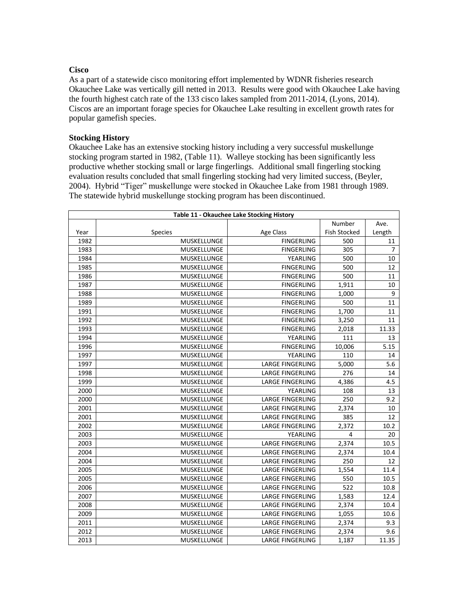### **Cisco**

As a part of a statewide cisco monitoring effort implemented by WDNR fisheries research Okauchee Lake was vertically gill netted in 2013. Results were good with Okauchee Lake having the fourth highest catch rate of the 133 cisco lakes sampled from 2011-2014, (Lyons, 2014). Ciscos are an important forage species for Okauchee Lake resulting in excellent growth rates for popular gamefish species.

### **Stocking History**

Okauchee Lake has an extensive stocking history including a very successful muskellunge stocking program started in 1982, (Table 11). Walleye stocking has been significantly less productive whether stocking small or large fingerlings. Additional small fingerling stocking evaluation results concluded that small fingerling stocking had very limited success, (Beyler, 2004). Hybrid "Tiger" muskellunge were stocked in Okauchee Lake from 1981 through 1989. The statewide hybrid muskellunge stocking program has been discontinued.

|      | Table 11 - Okauchee Lake Stocking History |                         |                     |                |  |  |  |  |  |  |  |
|------|-------------------------------------------|-------------------------|---------------------|----------------|--|--|--|--|--|--|--|
|      |                                           |                         | Number              | Ave.           |  |  |  |  |  |  |  |
| Year | Species                                   | Age Class               | <b>Fish Stocked</b> | Length         |  |  |  |  |  |  |  |
| 1982 | MUSKELLUNGE                               | <b>FINGERLING</b>       | 500                 | 11             |  |  |  |  |  |  |  |
| 1983 | MUSKELLUNGE                               | <b>FINGERLING</b>       | 305                 | $\overline{7}$ |  |  |  |  |  |  |  |
| 1984 | MUSKELLUNGE                               | YEARLING                | 500                 | 10             |  |  |  |  |  |  |  |
| 1985 | MUSKELLUNGE                               | <b>FINGERLING</b>       | 500                 | 12             |  |  |  |  |  |  |  |
| 1986 | MUSKELLUNGE                               | <b>FINGERLING</b>       | 500                 | 11             |  |  |  |  |  |  |  |
| 1987 | MUSKELLUNGE                               | <b>FINGERLING</b>       | 1,911               | 10             |  |  |  |  |  |  |  |
| 1988 | MUSKELLUNGE                               | <b>FINGERLING</b>       | 1,000               | 9              |  |  |  |  |  |  |  |
| 1989 | MUSKELLUNGE                               | <b>FINGERLING</b>       | 500                 | 11             |  |  |  |  |  |  |  |
| 1991 | MUSKELLUNGE                               | <b>FINGERLING</b>       | 1,700               | 11             |  |  |  |  |  |  |  |
| 1992 | MUSKELLUNGE                               | <b>FINGERLING</b>       | 3,250               | 11             |  |  |  |  |  |  |  |
| 1993 | MUSKELLUNGE                               | <b>FINGERLING</b>       | 2,018               | 11.33          |  |  |  |  |  |  |  |
| 1994 | MUSKELLUNGE                               | YEARLING                | 111                 | 13             |  |  |  |  |  |  |  |
| 1996 | MUSKELLUNGE                               | <b>FINGERLING</b>       | 10,006              | 5.15           |  |  |  |  |  |  |  |
| 1997 | MUSKELLUNGE                               | YEARLING                | 110                 | 14             |  |  |  |  |  |  |  |
| 1997 | MUSKELLUNGE                               | <b>LARGE FINGERLING</b> | 5,000               | 5.6            |  |  |  |  |  |  |  |
| 1998 | MUSKELLUNGE                               | <b>LARGE FINGERLING</b> | 276                 | 14             |  |  |  |  |  |  |  |
| 1999 | MUSKELLUNGE                               | <b>LARGE FINGERLING</b> | 4,386               | 4.5            |  |  |  |  |  |  |  |
| 2000 | MUSKELLUNGE                               | YEARLING                | 108                 | 13             |  |  |  |  |  |  |  |
| 2000 | MUSKELLUNGE                               | <b>LARGE FINGERLING</b> | 250                 | 9.2            |  |  |  |  |  |  |  |
| 2001 | MUSKELLUNGE                               | <b>LARGE FINGERLING</b> | 2,374               | 10             |  |  |  |  |  |  |  |
| 2001 | MUSKELLUNGE                               | <b>LARGE FINGERLING</b> | 385                 | 12             |  |  |  |  |  |  |  |
| 2002 | MUSKELLUNGE                               | <b>LARGE FINGERLING</b> | 2,372               | 10.2           |  |  |  |  |  |  |  |
| 2003 | MUSKELLUNGE                               | YEARLING                | 4                   | 20             |  |  |  |  |  |  |  |
| 2003 | MUSKELLUNGE                               | <b>LARGE FINGERLING</b> | 2,374               | 10.5           |  |  |  |  |  |  |  |
| 2004 | MUSKELLUNGE                               | LARGE FINGERLING        | 2,374               | 10.4           |  |  |  |  |  |  |  |
| 2004 | MUSKELLUNGE                               | LARGE FINGERLING        | 250                 | 12             |  |  |  |  |  |  |  |
| 2005 | MUSKELLUNGE                               | <b>LARGE FINGERLING</b> | 1,554               | 11.4           |  |  |  |  |  |  |  |
| 2005 | MUSKELLUNGE                               | LARGE FINGERLING        | 550                 | $10.5\,$       |  |  |  |  |  |  |  |
| 2006 | MUSKELLUNGE                               | <b>LARGE FINGERLING</b> | 522                 | 10.8           |  |  |  |  |  |  |  |
| 2007 | MUSKELLUNGE                               | LARGE FINGERLING        | 1,583               | 12.4           |  |  |  |  |  |  |  |
| 2008 | MUSKELLUNGE                               | LARGE FINGERLING        | 2,374               | 10.4           |  |  |  |  |  |  |  |
| 2009 | MUSKELLUNGE                               | LARGE FINGERLING        | 1,055               | 10.6           |  |  |  |  |  |  |  |
| 2011 | MUSKELLUNGE                               | LARGE FINGERLING        | 2,374               | 9.3            |  |  |  |  |  |  |  |
| 2012 | MUSKELLUNGE                               | LARGE FINGERLING        | 2,374               | 9.6            |  |  |  |  |  |  |  |
| 2013 | MUSKELLUNGE                               | LARGE FINGERLING        | 1,187               | 11.35          |  |  |  |  |  |  |  |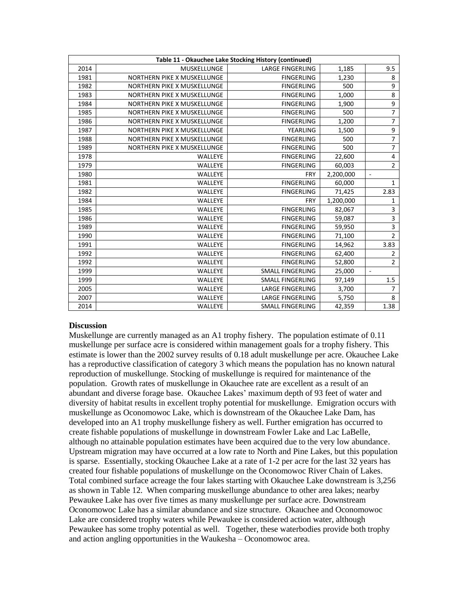| Table 11 - Okauchee Lake Stocking History (continued) |                             |                         |           |                |
|-------------------------------------------------------|-----------------------------|-------------------------|-----------|----------------|
| 2014                                                  | <b>MUSKELLUNGE</b>          | <b>LARGE FINGERLING</b> | 1,185     | 9.5            |
| 1981                                                  | NORTHERN PIKE X MUSKELLUNGE | <b>FINGERLING</b>       | 1,230     | 8              |
| 1982                                                  | NORTHERN PIKE X MUSKELLUNGE | <b>FINGERLING</b>       | 500       | 9              |
| 1983                                                  | NORTHERN PIKE X MUSKELLUNGE | <b>FINGERLING</b>       | 1,000     | 8              |
| 1984                                                  | NORTHERN PIKE X MUSKELLUNGE | <b>FINGERLING</b>       | 1,900     | 9              |
| 1985                                                  | NORTHERN PIKE X MUSKELLUNGE | <b>FINGERLING</b>       | 500       | $\overline{7}$ |
| 1986                                                  | NORTHERN PIKE X MUSKELLUNGE | <b>FINGERLING</b>       | 1,200     | 7              |
| 1987                                                  | NORTHERN PIKE X MUSKELLUNGE | <b>YEARLING</b>         | 1,500     | 9              |
| 1988                                                  | NORTHERN PIKE X MUSKELLUNGE | <b>FINGERLING</b>       | 500       | $\overline{7}$ |
| 1989                                                  | NORTHERN PIKE X MUSKELLUNGE | <b>FINGERLING</b>       | 500       | $\overline{7}$ |
| 1978                                                  | <b>WALLEYE</b>              | <b>FINGERLING</b>       | 22,600    | 4              |
| 1979                                                  | WALLEYE                     | <b>FINGERLING</b>       | 60,003    | $\overline{2}$ |
| 1980                                                  | WALLEYE                     | <b>FRY</b>              | 2,200,000 | $\sim$         |
| 1981                                                  | WALLEYE                     | <b>FINGERLING</b>       | 60,000    | 1              |
| 1982                                                  | WALLEYE                     | <b>FINGERLING</b>       | 71,425    | 2.83           |
| 1984                                                  | WALLEYE                     | <b>FRY</b>              | 1,200,000 | 1              |
| 1985                                                  | <b>WALLEYE</b>              | <b>FINGERLING</b>       | 82,067    | 3              |
| 1986                                                  | WALLEYE                     | <b>FINGERLING</b>       | 59,087    | 3              |
| 1989                                                  | WALLEYE                     | <b>FINGERLING</b>       | 59,950    | $\overline{3}$ |
| 1990                                                  | WALLEYE                     | <b>FINGERLING</b>       | 71,100    | $\overline{2}$ |
| 1991                                                  | WALLEYE                     | <b>FINGERLING</b>       | 14,962    | 3.83           |
| 1992                                                  | WALLEYE                     | <b>FINGERLING</b>       | 62,400    | $\overline{2}$ |
| 1992                                                  | WALLEYE                     | <b>FINGERLING</b>       | 52,800    | $\overline{2}$ |
| 1999                                                  | WALLEYE                     | <b>SMALL FINGERLING</b> | 25,000    | ÷,             |
| 1999                                                  | WALLEYE                     | SMALL FINGERLING        | 97,149    | 1.5            |
| 2005                                                  | WALLEYE                     | <b>LARGE FINGERLING</b> | 3,700     | 7              |
| 2007                                                  | WALLEYE                     | <b>LARGE FINGERLING</b> | 5,750     | 8              |
| 2014                                                  | WALLEYE                     | <b>SMALL FINGERLING</b> | 42,359    | 1.38           |

#### **Discussion**

Muskellunge are currently managed as an A1 trophy fishery. The population estimate of 0.11 muskellunge per surface acre is considered within management goals for a trophy fishery. This estimate is lower than the 2002 survey results of 0.18 adult muskellunge per acre. Okauchee Lake has a reproductive classification of category 3 which means the population has no known natural reproduction of muskellunge. Stocking of muskellunge is required for maintenance of the population. Growth rates of muskellunge in Okauchee rate are excellent as a result of an abundant and diverse forage base. Okauchee Lakes' maximum depth of 93 feet of water and diversity of habitat results in excellent trophy potential for muskellunge. Emigration occurs with muskellunge as Oconomowoc Lake, which is downstream of the Okauchee Lake Dam, has developed into an A1 trophy muskellunge fishery as well. Further emigration has occurred to create fishable populations of muskellunge in downstream Fowler Lake and Lac LaBelle, although no attainable population estimates have been acquired due to the very low abundance. Upstream migration may have occurred at a low rate to North and Pine Lakes, but this population is sparse. Essentially, stocking Okauchee Lake at a rate of 1-2 per acre for the last 32 years has created four fishable populations of muskellunge on the Oconomowoc River Chain of Lakes. Total combined surface acreage the four lakes starting with Okauchee Lake downstream is 3,256 as shown in Table 12. When comparing muskellunge abundance to other area lakes; nearby Pewaukee Lake has over five times as many muskellunge per surface acre. Downstream Oconomowoc Lake has a similar abundance and size structure. Okauchee and Oconomowoc Lake are considered trophy waters while Pewaukee is considered action water, although Pewaukee has some trophy potential as well. Together, these waterbodies provide both trophy and action angling opportunities in the Waukesha – Oconomowoc area.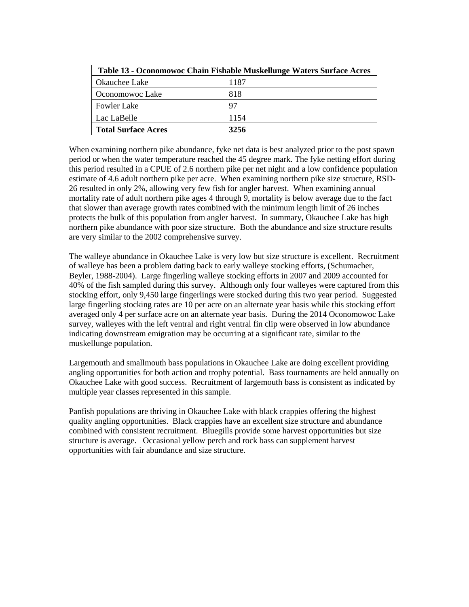| Table 13 - Oconomowoc Chain Fishable Muskellunge Waters Surface Acres |      |  |  |
|-----------------------------------------------------------------------|------|--|--|
| Okauchee Lake                                                         | 1187 |  |  |
| Oconomowoc Lake                                                       | 818  |  |  |
| <b>Fowler Lake</b>                                                    | 97   |  |  |
| Lac LaBelle                                                           | 1154 |  |  |
| <b>Total Surface Acres</b>                                            | 3256 |  |  |

When examining northern pike abundance, fyke net data is best analyzed prior to the post spawn period or when the water temperature reached the 45 degree mark. The fyke netting effort during this period resulted in a CPUE of 2.6 northern pike per net night and a low confidence population estimate of 4.6 adult northern pike per acre. When examining northern pike size structure, RSD-26 resulted in only 2%, allowing very few fish for angler harvest. When examining annual mortality rate of adult northern pike ages 4 through 9, mortality is below average due to the fact that slower than average growth rates combined with the minimum length limit of 26 inches protects the bulk of this population from angler harvest. In summary, Okauchee Lake has high northern pike abundance with poor size structure. Both the abundance and size structure results are very similar to the 2002 comprehensive survey.

The walleye abundance in Okauchee Lake is very low but size structure is excellent. Recruitment of walleye has been a problem dating back to early walleye stocking efforts, (Schumacher, Beyler, 1988-2004). Large fingerling walleye stocking efforts in 2007 and 2009 accounted for 40% of the fish sampled during this survey. Although only four walleyes were captured from this stocking effort, only 9,450 large fingerlings were stocked during this two year period. Suggested large fingerling stocking rates are 10 per acre on an alternate year basis while this stocking effort averaged only 4 per surface acre on an alternate year basis. During the 2014 Oconomowoc Lake survey, walleyes with the left ventral and right ventral fin clip were observed in low abundance indicating downstream emigration may be occurring at a significant rate, similar to the muskellunge population.

Largemouth and smallmouth bass populations in Okauchee Lake are doing excellent providing angling opportunities for both action and trophy potential. Bass tournaments are held annually on Okauchee Lake with good success. Recruitment of largemouth bass is consistent as indicated by multiple year classes represented in this sample.

Panfish populations are thriving in Okauchee Lake with black crappies offering the highest quality angling opportunities. Black crappies have an excellent size structure and abundance combined with consistent recruitment. Bluegills provide some harvest opportunities but size structure is average. Occasional yellow perch and rock bass can supplement harvest opportunities with fair abundance and size structure.